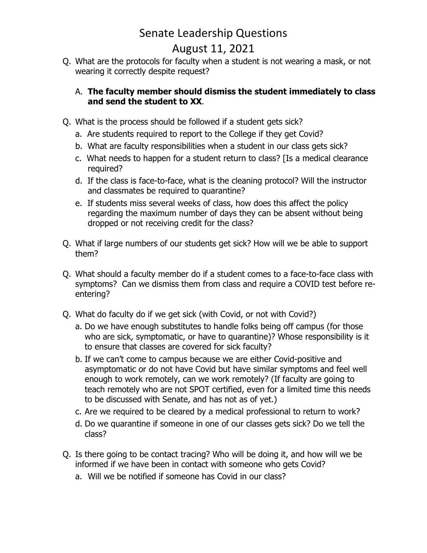## Senate Leadership Questions

## August 11, 2021

 Q. What are the protocols for faculty when a student is not wearing a mask, or not wearing it correctly despite request?

## A. **The faculty member should dismiss the student immediately to class and send the student to XX**.

- Q. What is the process should be followed if a student gets sick?
	- a. Are students required to report to the College if they get Covid?
	- b. What are faculty responsibilities when a student in our class gets sick?
	- c. What needs to happen for a student return to class? [Is a medical clearance required?
	- d. If the class is face‐to‐face, what is the cleaning protocol? Will the instructor and classmates be required to quarantine?
	- and classmates be required to quarantine? e. If students miss several weeks of class, how does this affect the policy regarding the maximum number of days they can be absent without being dropped or not receiving credit for the class?
- Q. What if large numbers of our students get sick? How will we be able to support them?
- Q. What should a faculty member do if a student comes to a face‐to‐face class with symptoms? Can we dismiss them from class and require a COVID test before re‐ entering?
- Q. What do faculty do if we get sick (with Covid, or not with Covid?)
	- a. Do we have enough substitutes to handle folks being off campus (for those who are sick, symptomatic, or have to quarantine)? Whose responsibility is it to ensure that classes are covered for sick faculty?
	- b. If we can't come to campus because we are either Covid‐positive and asymptomatic or do not have Covid but have similar symptoms and feel well enough to work remotely, can we work remotely? (If faculty are going to teach remotely who are not SPOT certified, even for a limited time this needs to be discussed with Senate, and has not as of yet.)
	- c. Are we required to be cleared by a medical professional to return to work?
	- d. Do we quarantine if someone in one of our classes gets sick? Do we tell the class?
- Q. Is there going to be contact tracing? Who will be doing it, and how will we be informed if we have been in contact with someone who gets Covid?
	- a. Will we be notified if someone has Covid in our class?